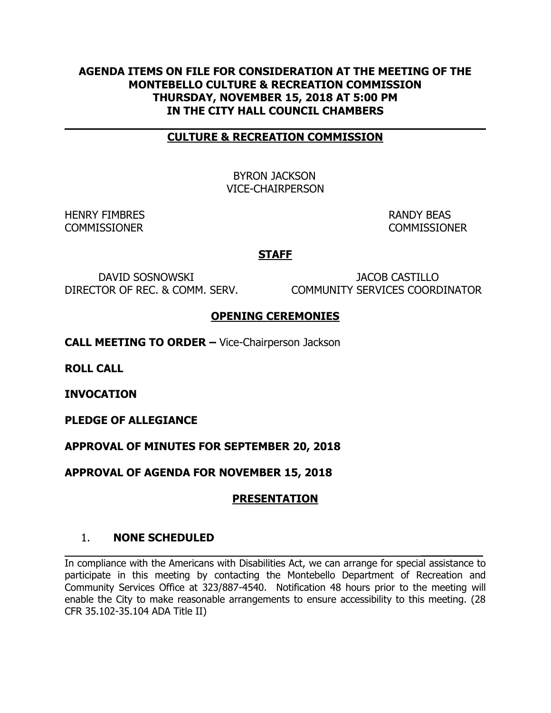### **AGENDA ITEMS ON FILE FOR CONSIDERATION AT THE MEETING OF THE MONTEBELLO CULTURE & RECREATION COMMISSION THURSDAY, NOVEMBER 15, 2018 AT 5:00 PM IN THE CITY HALL COUNCIL CHAMBERS**

#### **CULTURE & RECREATION COMMISSION**

 BYRON JACKSON VICE-CHAIRPERSON

HENRY FIMBRES **RANDY BEAS** COMMISSIONER COMMISSIONER

**\_\_\_\_\_\_\_\_\_**

### **STAFF**

 DAVID SOSNOWSKI JACOB CASTILLO DIRECTOR OF REC. & COMM. SERV. COMMUNITY SERVICES COORDINATOR

#### **OPENING CEREMONIES**

**CALL MEETING TO ORDER –** Vice-Chairperson Jackson

**ROLL CALL** 

**INVOCATION** 

**PLEDGE OF ALLEGIANCE**

**APPROVAL OF MINUTES FOR SEPTEMBER 20, 2018**

**APPROVAL OF AGENDA FOR NOVEMBER 15, 2018**

### **PRESENTATION**

#### 1. **NONE SCHEDULED**

In compliance with the Americans with Disabilities Act, we can arrange for special assistance to participate in this meeting by contacting the Montebello Department of Recreation and Community Services Office at 323/887-4540. Notification 48 hours prior to the meeting will enable the City to make reasonable arrangements to ensure accessibility to this meeting. (28 CFR 35.102-35.104 ADA Title II)